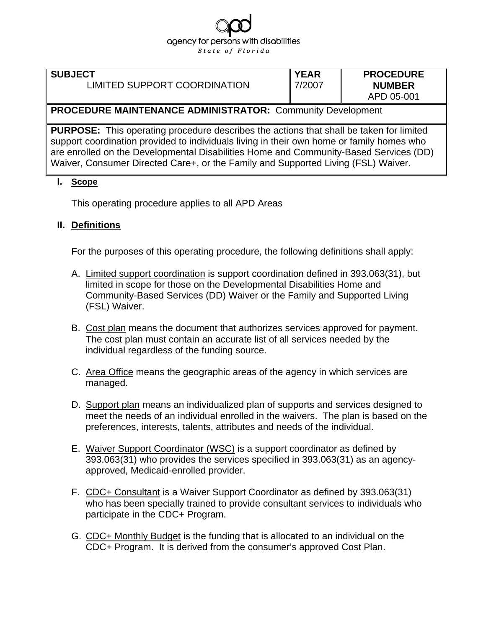# agency for persons with disabilities State of Florida

#### **SUBJECT**

## LIMITED SUPPORT COORDINATION

**YEAR**  7/2007 **PROCEDURE NUMBER** APD 05-001

## **PROCEDURE MAINTENANCE ADMINISTRATOR:** Community Development

**PURPOSE:** This operating procedure describes the actions that shall be taken for limited support coordination provided to individuals living in their own home or family homes who are enrolled on the Developmental Disabilities Home and Community-Based Services (DD) Waiver, Consumer Directed Care+, or the Family and Supported Living (FSL) Waiver.

#### **I. Scope**

This operating procedure applies to all APD Areas

#### **II. Definitions**

For the purposes of this operating procedure, the following definitions shall apply:

- A. Limited support coordination is support coordination defined in 393.063(31), but limited in scope for those on the Developmental Disabilities Home and Community-Based Services (DD) Waiver or the Family and Supported Living (FSL) Waiver.
- B. Cost plan means the document that authorizes services approved for payment. The cost plan must contain an accurate list of all services needed by the individual regardless of the funding source.
- C. Area Office means the geographic areas of the agency in which services are managed.
- D. Support plan means an individualized plan of supports and services designed to meet the needs of an individual enrolled in the waivers. The plan is based on the preferences, interests, talents, attributes and needs of the individual.
- E. Waiver Support Coordinator (WSC) is a support coordinator as defined by 393.063(31) who provides the services specified in 393.063(31) as an agencyapproved, Medicaid-enrolled provider.
- F. CDC+ Consultant is a Waiver Support Coordinator as defined by 393.063(31) who has been specially trained to provide consultant services to individuals who participate in the CDC+ Program.
- G. CDC+ Monthly Budget is the funding that is allocated to an individual on the CDC+ Program. It is derived from the consumer's approved Cost Plan.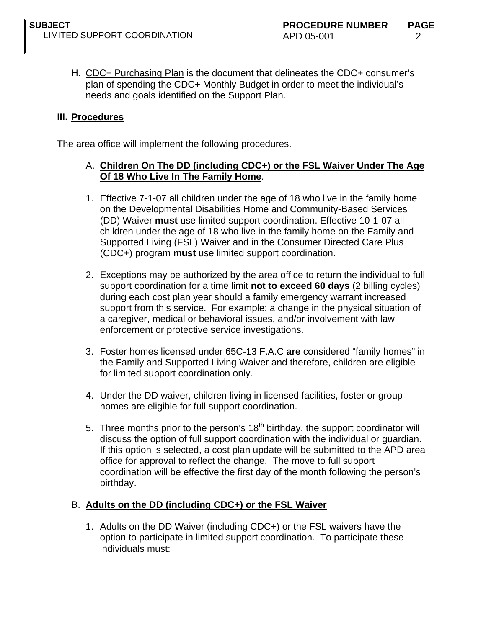H. CDC+ Purchasing Plan is the document that delineates the CDC+ consumer's plan of spending the CDC+ Monthly Budget in order to meet the individual's needs and goals identified on the Support Plan.

## **III. Procedures**

The area office will implement the following procedures.

## A. **Children On The DD (including CDC+) or the FSL Waiver Under The Age Of 18 Who Live In The Family Home**.

- 1. Effective 7-1-07 all children under the age of 18 who live in the family home on the Developmental Disabilities Home and Community-Based Services (DD) Waiver **must** use limited support coordination. Effective 10-1-07 all children under the age of 18 who live in the family home on the Family and Supported Living (FSL) Waiver and in the Consumer Directed Care Plus (CDC+) program **must** use limited support coordination.
- 2. Exceptions may be authorized by the area office to return the individual to full support coordination for a time limit **not to exceed 60 days** (2 billing cycles) during each cost plan year should a family emergency warrant increased support from this service. For example: a change in the physical situation of a caregiver, medical or behavioral issues, and/or involvement with law enforcement or protective service investigations.
- 3. Foster homes licensed under 65C-13 F.A.C **are** considered "family homes" in the Family and Supported Living Waiver and therefore, children are eligible for limited support coordination only.
- 4. Under the DD waiver, children living in licensed facilities, foster or group homes are eligible for full support coordination.
- 5. Three months prior to the person's  $18<sup>th</sup>$  birthday, the support coordinator will discuss the option of full support coordination with the individual or guardian. If this option is selected, a cost plan update will be submitted to the APD area office for approval to reflect the change. The move to full support coordination will be effective the first day of the month following the person's birthday.

## B. **Adults on the DD (including CDC+) or the FSL Waiver**

1. Adults on the DD Waiver (including CDC+) or the FSL waivers have the option to participate in limited support coordination. To participate these individuals must: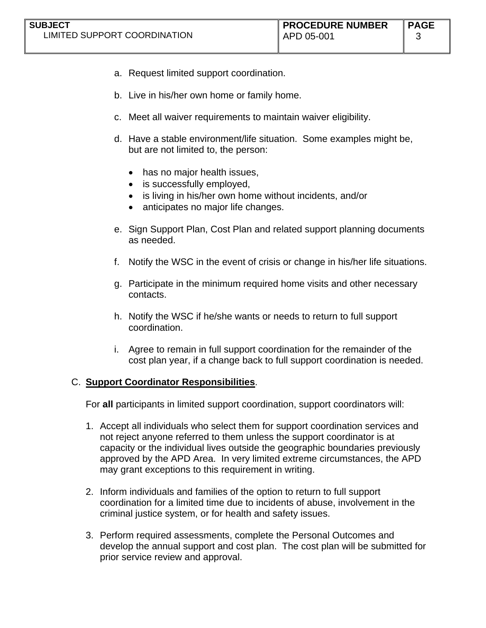- a. Request limited support coordination.
- b. Live in his/her own home or family home.
- c. Meet all waiver requirements to maintain waiver eligibility.
- d. Have a stable environment/life situation. Some examples might be, but are not limited to, the person:
	- has no major health issues,
	- is successfully employed,
	- is living in his/her own home without incidents, and/or
	- anticipates no major life changes.
- e. Sign Support Plan, Cost Plan and related support planning documents as needed.
- f. Notify the WSC in the event of crisis or change in his/her life situations.
- g. Participate in the minimum required home visits and other necessary contacts.
- h. Notify the WSC if he/she wants or needs to return to full support coordination.
- i. Agree to remain in full support coordination for the remainder of the cost plan year, if a change back to full support coordination is needed.

## C. **Support Coordinator Responsibilities**.

For **all** participants in limited support coordination, support coordinators will:

- 1. Accept all individuals who select them for support coordination services and not reject anyone referred to them unless the support coordinator is at capacity or the individual lives outside the geographic boundaries previously approved by the APD Area. In very limited extreme circumstances, the APD may grant exceptions to this requirement in writing.
- 2. Inform individuals and families of the option to return to full support coordination for a limited time due to incidents of abuse, involvement in the criminal justice system, or for health and safety issues.
- 3. Perform required assessments, complete the Personal Outcomes and develop the annual support and cost plan. The cost plan will be submitted for prior service review and approval.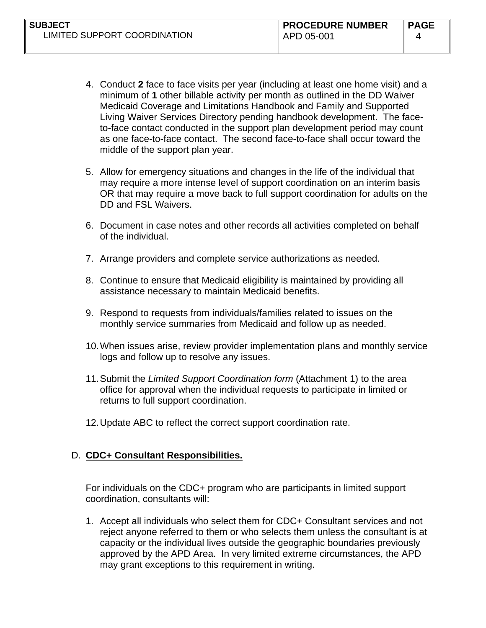- 4. Conduct **2** face to face visits per year (including at least one home visit) and a minimum of **1** other billable activity per month as outlined in the DD Waiver Medicaid Coverage and Limitations Handbook and Family and Supported Living Waiver Services Directory pending handbook development. The faceto-face contact conducted in the support plan development period may count as one face-to-face contact. The second face-to-face shall occur toward the middle of the support plan year.
- 5. Allow for emergency situations and changes in the life of the individual that may require a more intense level of support coordination on an interim basis OR that may require a move back to full support coordination for adults on the DD and FSL Waivers.
- 6. Document in case notes and other records all activities completed on behalf of the individual.
- 7. Arrange providers and complete service authorizations as needed.
- 8. Continue to ensure that Medicaid eligibility is maintained by providing all assistance necessary to maintain Medicaid benefits.
- 9. Respond to requests from individuals/families related to issues on the monthly service summaries from Medicaid and follow up as needed.
- 10. When issues arise, review provider implementation plans and monthly service logs and follow up to resolve any issues.
- 11. Submit the *Limited Support Coordination form* (Attachment 1) to the area office for approval when the individual requests to participate in limited or returns to full support coordination.
- 12. Update ABC to reflect the correct support coordination rate.

## D. **CDC+ Consultant Responsibilities.**

For individuals on the CDC+ program who are participants in limited support coordination, consultants will:

1. Accept all individuals who select them for CDC+ Consultant services and not reject anyone referred to them or who selects them unless the consultant is at capacity or the individual lives outside the geographic boundaries previously approved by the APD Area. In very limited extreme circumstances, the APD may grant exceptions to this requirement in writing.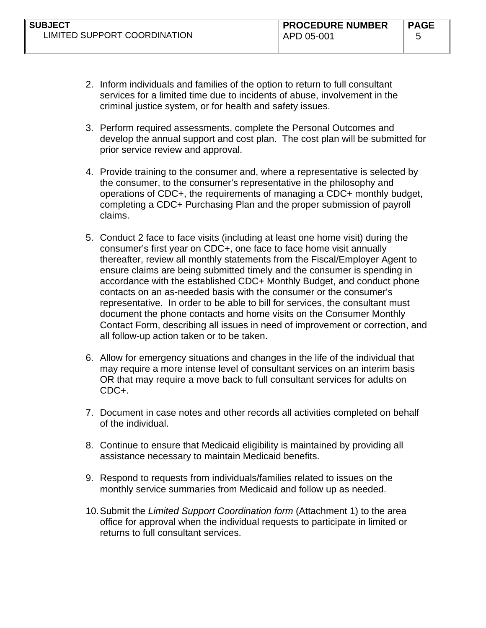- 2. Inform individuals and families of the option to return to full consultant services for a limited time due to incidents of abuse, involvement in the criminal justice system, or for health and safety issues.
- 3. Perform required assessments, complete the Personal Outcomes and develop the annual support and cost plan. The cost plan will be submitted for prior service review and approval.
- 4. Provide training to the consumer and, where a representative is selected by the consumer, to the consumer's representative in the philosophy and operations of CDC+, the requirements of managing a CDC+ monthly budget, completing a CDC+ Purchasing Plan and the proper submission of payroll claims.
- 5. Conduct 2 face to face visits (including at least one home visit) during the consumer's first year on CDC+, one face to face home visit annually thereafter, review all monthly statements from the Fiscal/Employer Agent to ensure claims are being submitted timely and the consumer is spending in accordance with the established CDC+ Monthly Budget, and conduct phone contacts on an as-needed basis with the consumer or the consumer's representative. In order to be able to bill for services, the consultant must document the phone contacts and home visits on the Consumer Monthly Contact Form, describing all issues in need of improvement or correction, and all follow-up action taken or to be taken.
- 6. Allow for emergency situations and changes in the life of the individual that may require a more intense level of consultant services on an interim basis OR that may require a move back to full consultant services for adults on CDC+.
- 7. Document in case notes and other records all activities completed on behalf of the individual.
- 8. Continue to ensure that Medicaid eligibility is maintained by providing all assistance necessary to maintain Medicaid benefits.
- 9. Respond to requests from individuals/families related to issues on the monthly service summaries from Medicaid and follow up as needed.
- 10. Submit the *Limited Support Coordination form* (Attachment 1) to the area office for approval when the individual requests to participate in limited or returns to full consultant services.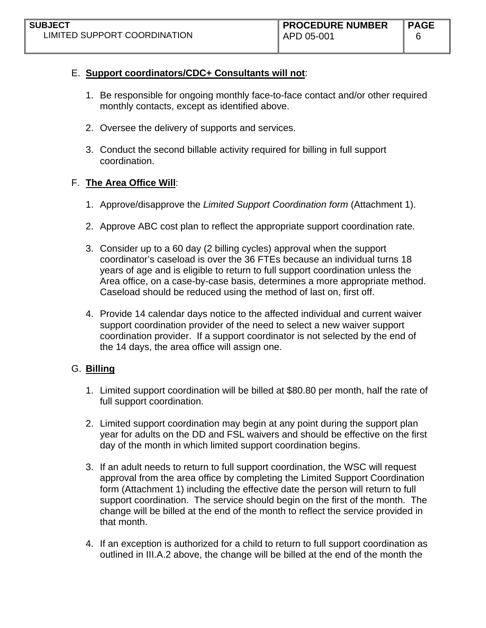# E. **Support coordinators/CDC+ Consultants will not**:

- 1. Be responsible for ongoing monthly face-to-face contact and/or other required monthly contacts, except as identified above.
- 2. Oversee the delivery of supports and services.
- 3. Conduct the second billable activity required for billing in full support coordination.

# F. **The Area Office Will**:

- 1. Approve/disapprove the *Limited Support Coordination form* (Attachment 1).
- 2. Approve ABC cost plan to reflect the appropriate support coordination rate.
- 3. Consider up to a 60 day (2 billing cycles) approval when the support coordinator's caseload is over the 36 FTEs because an individual turns 18 years of age and is eligible to return to full support coordination unless the Area office, on a case-by-case basis, determines a more appropriate method. Caseload should be reduced using the method of last on, first off.
- 4. Provide 14 calendar days notice to the affected individual and current waiver support coordination provider of the need to select a new waiver support coordination provider. If a support coordinator is not selected by the end of the 14 days, the area office will assign one.

# G. **Billing**

- 1. Limited support coordination will be billed at \$80.80 per month, half the rate of full support coordination.
- 2. Limited support coordination may begin at any point during the support plan year for adults on the DD and FSL waivers and should be effective on the first day of the month in which limited support coordination begins.
- 3. If an adult needs to return to full support coordination, the WSC will request approval from the area office by completing the Limited Support Coordination form (Attachment 1) including the effective date the person will return to full support coordination. The service should begin on the first of the month. The change will be billed at the end of the month to reflect the service provided in that month.
- 4. If an exception is authorized for a child to return to full support coordination as outlined in III.A.2 above, the change will be billed at the end of the month the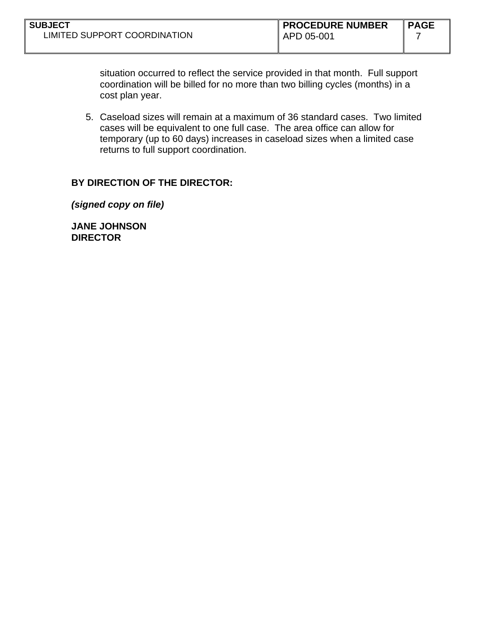situation occurred to reflect the service provided in that month. Full support coordination will be billed for no more than two billing cycles (months) in a cost plan year.

5. Caseload sizes will remain at a maximum of 36 standard cases. Two limited cases will be equivalent to one full case. The area office can allow for temporary (up to 60 days) increases in caseload sizes when a limited case returns to full support coordination.

#### **BY DIRECTION OF THE DIRECTOR:**

*(signed copy on file)* 

**JANE JOHNSON DIRECTOR**